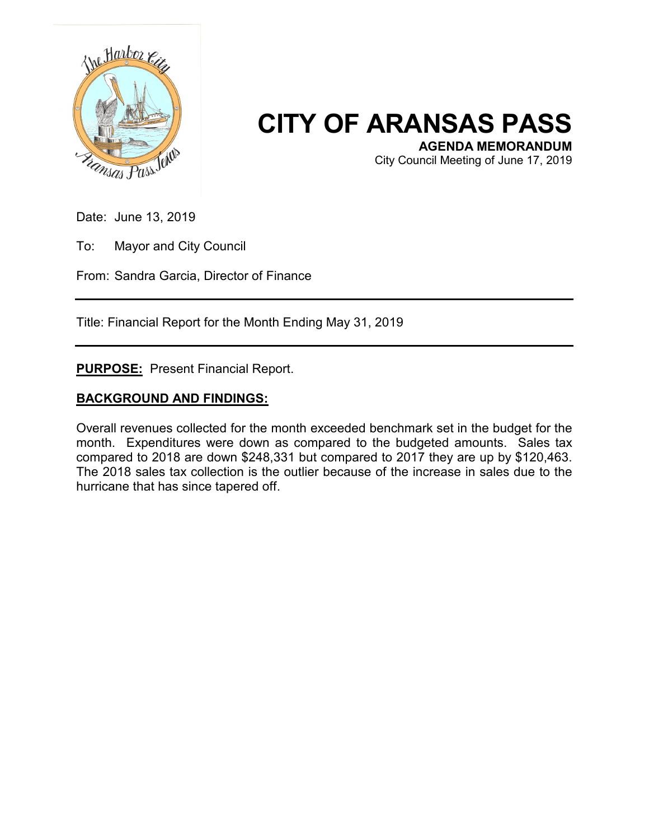

## **CITY OF ARANSAS PASS**

City Council Meeting of June 17, 2019

Date: June 13, 2019

To: Mayor and City Council

From: Sandra Garcia, Director of Finance

Title: Financial Report for the Month Ending May 31, 2019

**PURPOSE:** Present Financial Report.

## **BACKGROUND AND FINDINGS:**

Overall revenues collected for the month exceeded benchmark set in the budget for the month. Expenditures were down as compared to the budgeted amounts. Sales tax compared to 2018 are down \$248,331 but compared to 2017 they are up by \$120,463. The 2018 sales tax collection is the outlier because of the increase in sales due to the hurricane that has since tapered off.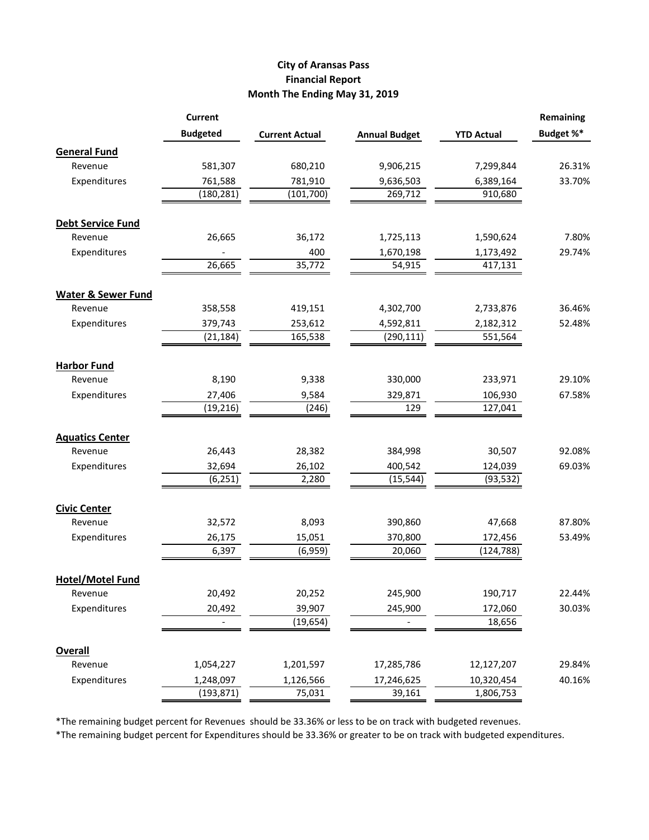## **City of Aransas Pass Financial Report Month The Ending May 31, 2019**

|                               | <b>Current</b>  |                       |                      |                   | <b>Remaining</b> |
|-------------------------------|-----------------|-----------------------|----------------------|-------------------|------------------|
|                               | <b>Budgeted</b> | <b>Current Actual</b> | <b>Annual Budget</b> | <b>YTD Actual</b> | Budget %*        |
| <b>General Fund</b>           |                 |                       |                      |                   |                  |
| Revenue                       | 581,307         | 680,210               | 9,906,215            | 7,299,844         | 26.31%           |
| Expenditures                  | 761,588         | 781,910               | 9,636,503            | 6,389,164         | 33.70%           |
|                               | (180, 281)      | (101, 700)            | 269,712              | 910,680           |                  |
| <b>Debt Service Fund</b>      |                 |                       |                      |                   |                  |
| Revenue                       | 26,665          | 36,172                | 1,725,113            | 1,590,624         | 7.80%            |
| Expenditures                  |                 | 400                   | 1,670,198            | 1,173,492         | 29.74%           |
|                               | 26,665          | 35,772                | 54,915               | 417,131           |                  |
| <b>Water &amp; Sewer Fund</b> |                 |                       |                      |                   |                  |
| Revenue                       | 358,558         | 419,151               | 4,302,700            | 2,733,876         | 36.46%           |
| Expenditures                  | 379,743         | 253,612               | 4,592,811            | 2,182,312         | 52.48%           |
|                               | (21, 184)       | 165,538               | (290, 111)           | 551,564           |                  |
| <b>Harbor Fund</b>            |                 |                       |                      |                   |                  |
| Revenue                       | 8,190           | 9,338                 | 330,000              | 233,971           | 29.10%           |
| Expenditures                  | 27,406          | 9,584                 | 329,871              | 106,930           | 67.58%           |
|                               | (19, 216)       | (246)                 | 129                  | 127,041           |                  |
| <b>Aquatics Center</b>        |                 |                       |                      |                   |                  |
| Revenue                       | 26,443          | 28,382                | 384,998              | 30,507            | 92.08%           |
| Expenditures                  | 32,694          | 26,102                | 400,542              | 124,039           | 69.03%           |
|                               | (6, 251)        | 2,280                 | (15, 544)            | (93, 532)         |                  |
| <b>Civic Center</b>           |                 |                       |                      |                   |                  |
| Revenue                       | 32,572          | 8,093                 | 390,860              | 47,668            | 87.80%           |
| Expenditures                  | 26,175          | 15,051                | 370,800              | 172,456           | 53.49%           |
|                               | 6,397           | (6,959)               | 20,060               | (124, 788)        |                  |
| <b>Hotel/Motel Fund</b>       |                 |                       |                      |                   |                  |
| Revenue                       | 20,492          | 20,252                | 245,900              | 190,717           | 22.44%           |
| Expenditures                  | 20,492          | 39,907                | 245,900              | 172,060           | 30.03%           |
|                               |                 | (19, 654)             |                      | 18,656            |                  |
| <b>Overall</b>                |                 |                       |                      |                   |                  |
| Revenue                       | 1,054,227       | 1,201,597             | 17,285,786           | 12,127,207        | 29.84%           |
| Expenditures                  | 1,248,097       | 1,126,566             | 17,246,625           | 10,320,454        | 40.16%           |
|                               | (193, 871)      | 75,031                | 39,161               | 1,806,753         |                  |

\*The remaining budget percent for Revenues should be 33.36% or less to be on track with budgeted revenues.

\*The remaining budget percent for Expenditures should be 33.36% or greater to be on track with budgeted expenditures.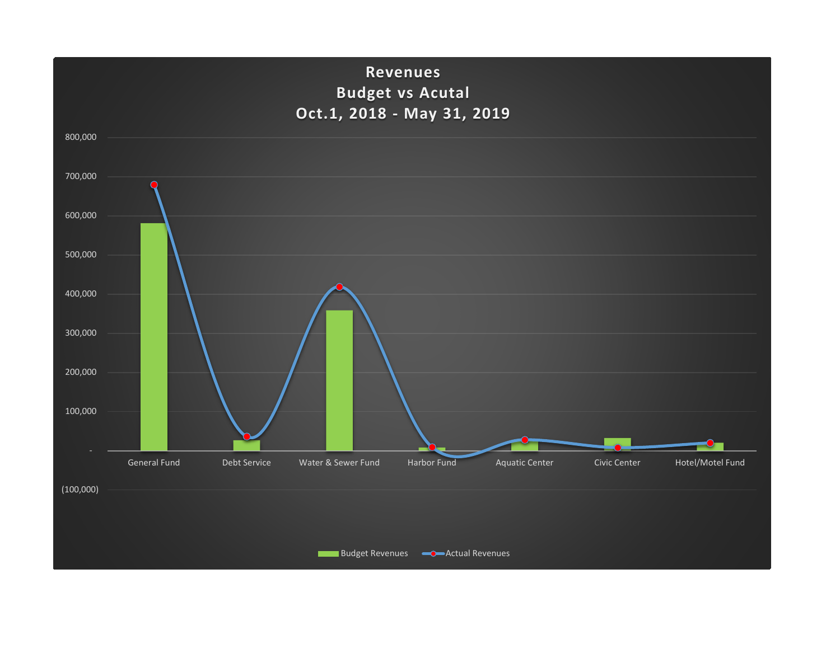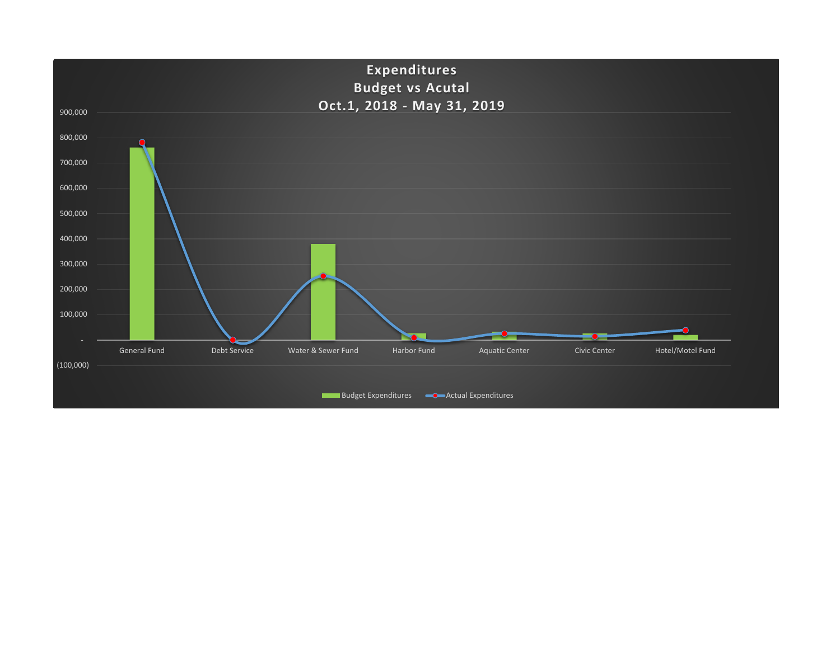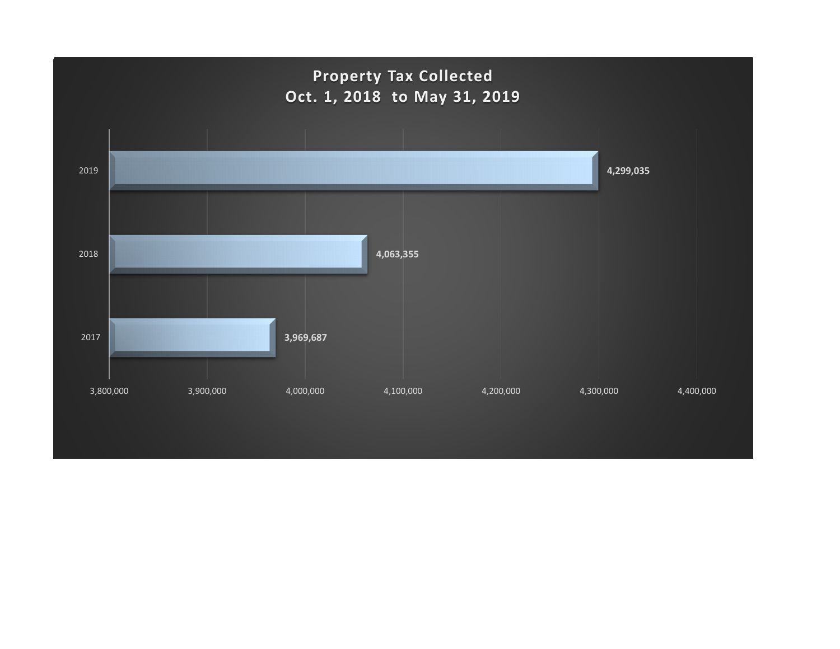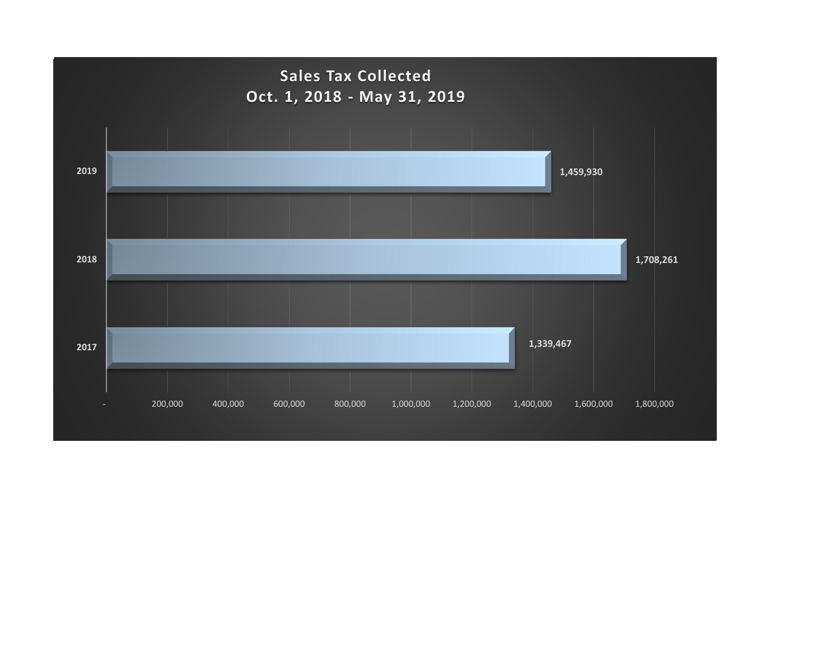